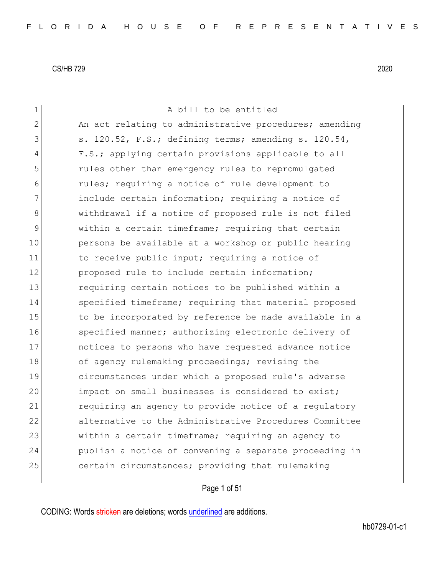1 a bill to be entitled 2 An act relating to administrative procedures; amending  $3$  s. 120.52, F.S.; defining terms; amending s. 120.54, 4 F.S.; applying certain provisions applicable to all 5 rules other than emergency rules to repromulgated 6 6 rules; requiring a notice of rule development to 7 **include certain information; requiring a notice of** 8 withdrawal if a notice of proposed rule is not filed 9 within a certain timeframe; requiring that certain 10 persons be available at a workshop or public hearing 11 11 to receive public input; requiring a notice of 12 proposed rule to include certain information; 13 13 requiring certain notices to be published within a 14 Specified timeframe; requiring that material proposed 15 to be incorporated by reference be made available in a 16 specified manner; authorizing electronic delivery of 17 notices to persons who have requested advance notice 18 of agency rulemaking proceedings; revising the 19 circumstances under which a proposed rule's adverse 20 impact on small businesses is considered to exist; 21 requiring an agency to provide notice of a regulatory 22 alternative to the Administrative Procedures Committee 23 within a certain timeframe; requiring an agency to 24 publish a notice of convening a separate proceeding in 25 certain circumstances; providing that rulemaking

Page 1 of 51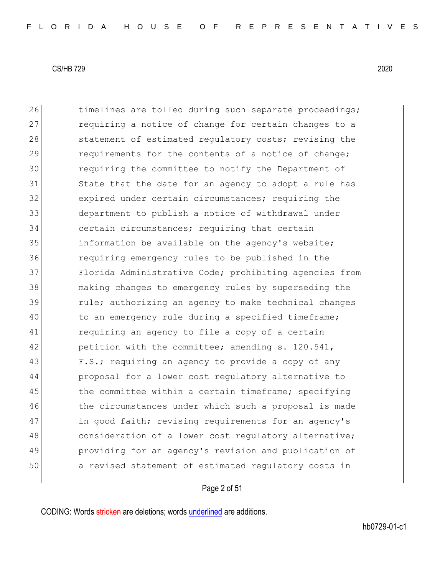26 timelines are tolled during such separate proceedings; 27 requiring a notice of change for certain changes to a 28 statement of estimated regulatory costs; revising the 29 requirements for the contents of a notice of change; 30 requiring the committee to notify the Department of 31 State that the date for an agency to adopt a rule has 32 expired under certain circumstances; requiring the 33 department to publish a notice of withdrawal under 34 certain circumstances; requiring that certain 35 information be available on the agency's website; 36 requiring emergency rules to be published in the 37 Florida Administrative Code; prohibiting agencies from 38 making changes to emergency rules by superseding the 39 rule; authorizing an agency to make technical changes 40 to an emergency rule during a specified timeframe; 41 requiring an agency to file a copy of a certain 42 petition with the committee; amending s. 120.541, 43 F.S.; requiring an agency to provide a copy of any 44 proposal for a lower cost regulatory alternative to 45 the committee within a certain timeframe; specifying 46 the circumstances under which such a proposal is made 47 in good faith; revising requirements for an agency's 48 consideration of a lower cost regulatory alternative; 49 providing for an agency's revision and publication of 50 a revised statement of estimated regulatory costs in

# Page 2 of 51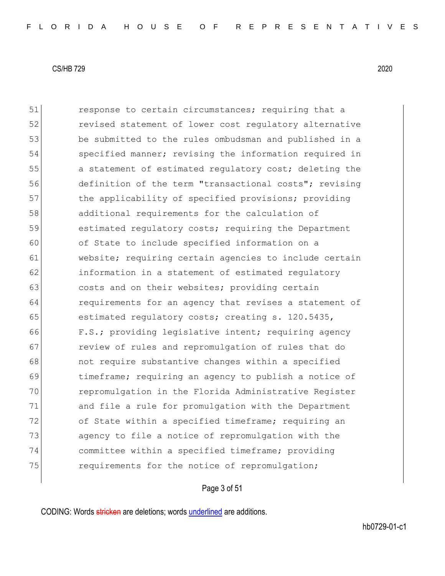51 response to certain circumstances; requiring that a 52 **revised statement of lower cost requiatory alternative** 53 be submitted to the rules ombudsman and published in a 54 specified manner; revising the information required in 55 a statement of estimated regulatory cost; deleting the 56 definition of the term "transactional costs"; revising 57 the applicability of specified provisions; providing 58 additional requirements for the calculation of 59 estimated regulatory costs; requiring the Department 60 of State to include specified information on a 61 website; requiring certain agencies to include certain 62 information in a statement of estimated regulatory 63 costs and on their websites; providing certain 64 **requirements for an agency that revises a statement of** 65 estimated requlatory costs; creating s. 120.5435, 66 F.S.; providing legislative intent; requiring agency 67 review of rules and repromulgation of rules that do 68 **not require substantive changes within a specified** 69 timeframe; requiring an agency to publish a notice of 70 repromulgation in the Florida Administrative Register 71 and file a rule for promulgation with the Department 72 of State within a specified timeframe; requiring an 73 agency to file a notice of repromulgation with the 74 committee within a specified timeframe; providing 75 **requirements for the notice of repromulgation;** 

#### Page 3 of 51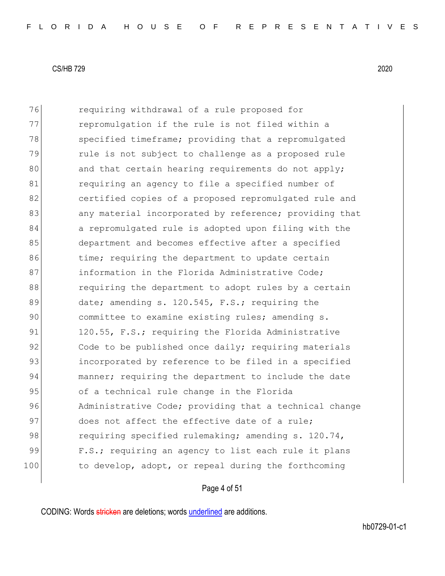76 requiring withdrawal of a rule proposed for 77 repromulgation if the rule is not filed within a 78 specified timeframe; providing that a repromulgated 79 rule is not subject to challenge as a proposed rule 80 and that certain hearing requirements do not apply; 81 requiring an agency to file a specified number of 82 certified copies of a proposed repromulgated rule and 83 any material incorporated by reference; providing that 84 a repromulgated rule is adopted upon filing with the 85 department and becomes effective after a specified 86 time; requiring the department to update certain 87 **information in the Florida Administrative Code;** 88 requiring the department to adopt rules by a certain 89 date; amending s. 120.545, F.S.; requiring the 90 committee to examine existing rules; amending s. 91 120.55, F.S.; requiring the Florida Administrative 92 Code to be published once daily; requiring materials 93 incorporated by reference to be filed in a specified 94 manner; requiring the department to include the date 95 of a technical rule change in the Florida 96 Administrative Code; providing that a technical change 97 does not affect the effective date of a rule; 98 requiring specified rulemaking; amending s. 120.74, 99 F.S.; requiring an agency to list each rule it plans 100 to develop, adopt, or repeal during the forthcoming

# Page 4 of 51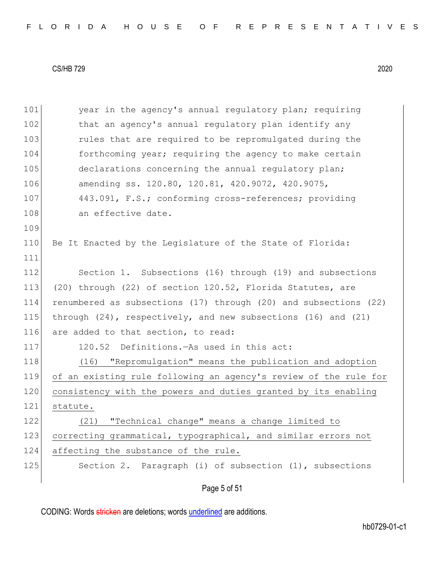|  |  |  |  |  |  |  |  | FLORIDA HOUSE OF REPRESENTATIVES |  |  |  |  |  |  |  |  |  |  |  |  |  |  |  |  |  |  |  |  |  |  |  |  |  |  |
|--|--|--|--|--|--|--|--|----------------------------------|--|--|--|--|--|--|--|--|--|--|--|--|--|--|--|--|--|--|--|--|--|--|--|--|--|--|
|--|--|--|--|--|--|--|--|----------------------------------|--|--|--|--|--|--|--|--|--|--|--|--|--|--|--|--|--|--|--|--|--|--|--|--|--|--|

| 101 | year in the agency's annual regulatory plan; requiring               |
|-----|----------------------------------------------------------------------|
| 102 | that an agency's annual regulatory plan identify any                 |
| 103 | rules that are required to be repromulgated during the               |
| 104 | forthcoming year; requiring the agency to make certain               |
| 105 | declarations concerning the annual regulatory plan;                  |
| 106 | amending ss. 120.80, 120.81, 420.9072, 420.9075,                     |
| 107 | 443.091, F.S.; conforming cross-references; providing                |
| 108 | an effective date.                                                   |
| 109 |                                                                      |
| 110 | Be It Enacted by the Legislature of the State of Florida:            |
| 111 |                                                                      |
| 112 | Section 1. Subsections (16) through (19) and subsections             |
| 113 | (20) through (22) of section 120.52, Florida Statutes, are           |
| 114 | renumbered as subsections (17) through (20) and subsections (22)     |
| 115 | through $(24)$ , respectively, and new subsections $(16)$ and $(21)$ |
| 116 | are added to that section, to read:                                  |
| 117 | 120.52 Definitions. - As used in this act:                           |
| 118 | (16) "Repromulgation" means the publication and adoption             |
| 119 | of an existing rule following an agency's review of the rule for     |
| 120 | consistency with the powers and duties granted by its enabling       |
| 121 | statute.                                                             |
| 122 | "Technical change" means a change limited to<br>(21)                 |
| 123 | correcting grammatical, typographical, and similar errors not        |
| 124 | affecting the substance of the rule.                                 |
| 125 | Section 2. Paragraph (i) of subsection (1), subsections              |
|     | Page 5 of 51                                                         |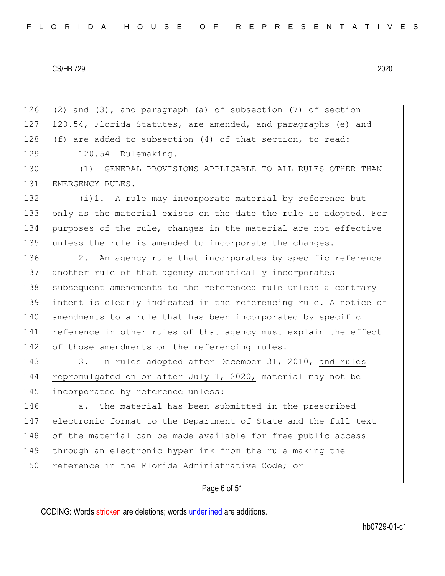126 (2) and (3), and paragraph (a) of subsection (7) of section 127 120.54, Florida Statutes, are amended, and paragraphs (e) and 128 (f) are added to subsection  $(4)$  of that section, to read: 129 120.54 Rulemaking.-

130 (1) GENERAL PROVISIONS APPLICABLE TO ALL RULES OTHER THAN 131 EMERGENCY RULES.-

132 (i)1. A rule may incorporate material by reference but 133 only as the material exists on the date the rule is adopted. For 134 purposes of the rule, changes in the material are not effective 135 unless the rule is amended to incorporate the changes.

136 2. An agency rule that incorporates by specific reference 137 another rule of that agency automatically incorporates 138 subsequent amendments to the referenced rule unless a contrary 139 intent is clearly indicated in the referencing rule. A notice of 140 amendments to a rule that has been incorporated by specific 141 reference in other rules of that agency must explain the effect 142 of those amendments on the referencing rules.

143 3. In rules adopted after December 31, 2010, and rules 144 repromulgated on or after July 1, 2020, material may not be 145 incorporated by reference unless:

146 a. The material has been submitted in the prescribed 147 electronic format to the Department of State and the full text 148 of the material can be made available for free public access 149 through an electronic hyperlink from the rule making the 150 reference in the Florida Administrative Code; or

### Page 6 of 51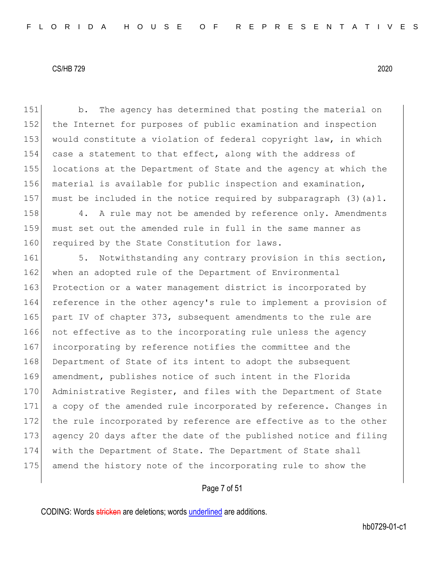151 b. The agency has determined that posting the material on 152 the Internet for purposes of public examination and inspection 153 would constitute a violation of federal copyright law, in which 154 case a statement to that effect, along with the address of 155 locations at the Department of State and the agency at which the 156 material is available for public inspection and examination, 157 must be included in the notice required by subparagraph  $(3)(a)1$ .

158 4. A rule may not be amended by reference only. Amendments 159 must set out the amended rule in full in the same manner as 160 required by the State Constitution for laws.

161 5. Notwithstanding any contrary provision in this section, 162 when an adopted rule of the Department of Environmental 163 Protection or a water management district is incorporated by 164 reference in the other agency's rule to implement a provision of 165 part IV of chapter 373, subsequent amendments to the rule are 166 not effective as to the incorporating rule unless the agency 167 incorporating by reference notifies the committee and the 168 Department of State of its intent to adopt the subsequent 169 amendment, publishes notice of such intent in the Florida 170 Administrative Register, and files with the Department of State 171 a copy of the amended rule incorporated by reference. Changes in 172 the rule incorporated by reference are effective as to the other 173 agency 20 days after the date of the published notice and filing 174 with the Department of State. The Department of State shall 175 amend the history note of the incorporating rule to show the

### Page 7 of 51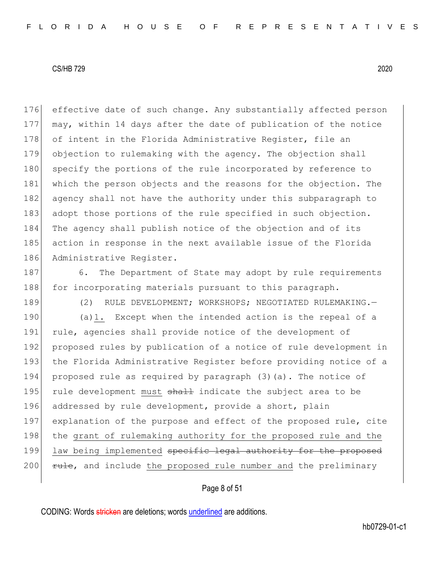176 effective date of such change. Any substantially affected person 177 may, within 14 days after the date of publication of the notice 178 of intent in the Florida Administrative Register, file an 179 objection to rulemaking with the agency. The objection shall 180 specify the portions of the rule incorporated by reference to 181 which the person objects and the reasons for the objection. The 182 agency shall not have the authority under this subparagraph to 183 adopt those portions of the rule specified in such objection. 184 The agency shall publish notice of the objection and of its 185 action in response in the next available issue of the Florida 186 Administrative Register.

- 187 6. The Department of State may adopt by rule requirements 188 for incorporating materials pursuant to this paragraph.
- 189 (2) RULE DEVELOPMENT; WORKSHOPS; NEGOTIATED RULEMAKING. 190 (a)1. Except when the intended action is the repeal of a 191 rule, agencies shall provide notice of the development of 192 proposed rules by publication of a notice of rule development in 193 the Florida Administrative Register before providing notice of a 194 proposed rule as required by paragraph (3)(a). The notice of

195 rule development must shall indicate the subject area to be 196 addressed by rule development, provide a short, plain 197 explanation of the purpose and effect of the proposed rule, cite 198 the grant of rulemaking authority for the proposed rule and the 199 law being implemented specific legal authority for the proposed 200  $rule$ , and include the proposed rule number and the preliminary

## Page 8 of 51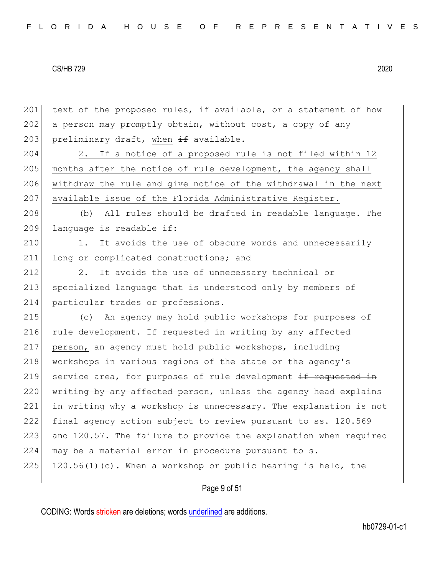201 text of the proposed rules, if available, or a statement of how 202 a person may promptly obtain, without cost, a copy of any 203 preliminary draft, when  $\pm$  available. 204 2. If a notice of a proposed rule is not filed within 12 205 months after the notice of rule development, the agency shall 206 withdraw the rule and give notice of the withdrawal in the next 207 available issue of the Florida Administrative Register. 208 (b) All rules should be drafted in readable language. The 209 language is readable if: 210 1. It avoids the use of obscure words and unnecessarily 211 long or complicated constructions; and 212 2. It avoids the use of unnecessary technical or 213 specialized language that is understood only by members of 214 particular trades or professions. 215 (c) An agency may hold public workshops for purposes of 216 rule development. If requested in writing by any affected 217 person, an agency must hold public workshops, including 218 workshops in various regions of the state or the agency's 219 service area, for purposes of rule development  $if$  requested in 220  $\frac{1}{220}$  writing by any affected person, unless the agency head explains 221 in writing why a workshop is unnecessary. The explanation is not 222 final agency action subject to review pursuant to ss. 120.569 223 and 120.57. The failure to provide the explanation when required 224 may be a material error in procedure pursuant to s. 225 120.56(1)(c). When a workshop or public hearing is held, the

# Page 9 of 51

CODING: Words stricken are deletions; words underlined are additions.

hb0729-01-c1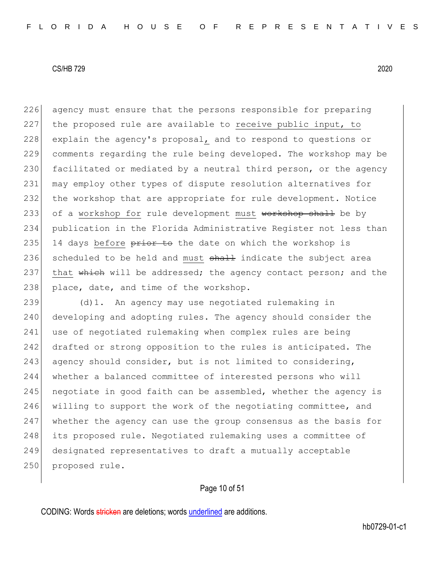226 agency must ensure that the persons responsible for preparing 227 the proposed rule are available to receive public input, to 228 explain the agency's proposal, and to respond to questions or 229 comments regarding the rule being developed. The workshop may be 230 facilitated or mediated by a neutral third person, or the agency 231 may employ other types of dispute resolution alternatives for 232 the workshop that are appropriate for rule development. Notice 233 of a workshop for rule development must workshop shall be by 234 publication in the Florida Administrative Register not less than 235 14 days before  $\frac{1}{2}$  and the date on which the workshop is 236 scheduled to be held and must  $shall$  indicate the subject area 237 that which will be addressed; the agency contact person; and the 238 place, date, and time of the workshop.

239 (d)1. An agency may use negotiated rulemaking in 240 developing and adopting rules. The agency should consider the 241 use of negotiated rulemaking when complex rules are being 242 drafted or strong opposition to the rules is anticipated. The 243 agency should consider, but is not limited to considering, 244 whether a balanced committee of interested persons who will  $245$  negotiate in good faith can be assembled, whether the agency is 246 willing to support the work of the negotiating committee, and 247 whether the agency can use the group consensus as the basis for 248 its proposed rule. Negotiated rulemaking uses a committee of 249 designated representatives to draft a mutually acceptable 250 proposed rule.

# Page 10 of 51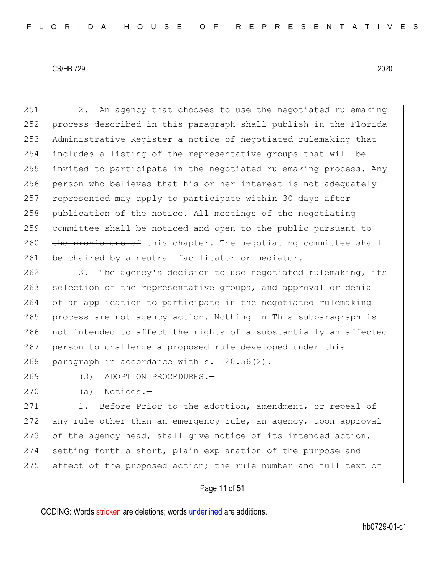251 2. An agency that chooses to use the negotiated rulemaking 252 process described in this paragraph shall publish in the Florida 253 Administrative Register a notice of negotiated rulemaking that 254 includes a listing of the representative groups that will be 255 invited to participate in the negotiated rulemaking process. Any 256 person who believes that his or her interest is not adequately 257 represented may apply to participate within 30 days after 258 publication of the notice. All meetings of the negotiating 259 committee shall be noticed and open to the public pursuant to  $260$  the provisions of this chapter. The negotiating committee shall 261 be chaired by a neutral facilitator or mediator.

262 3. The agency's decision to use negotiated rulemaking, its 263 selection of the representative groups, and approval or denial 264 of an application to participate in the negotiated rulemaking 265 process are not agency action. Nothing in This subparagraph is 266 not intended to affect the rights of a substantially an affected 267 person to challenge a proposed rule developed under this 268 paragraph in accordance with  $s. 120.56(2)$ .

269 (3) ADOPTION PROCEDURES.-

270 (a) Notices.—

271 1. Before Prior to the adoption, amendment, or repeal of  $272$  any rule other than an emergency rule, an agency, upon approval 273 of the agency head, shall give notice of its intended action, 274 setting forth a short, plain explanation of the purpose and 275 effect of the proposed action; the rule number and full text of

Page 11 of 51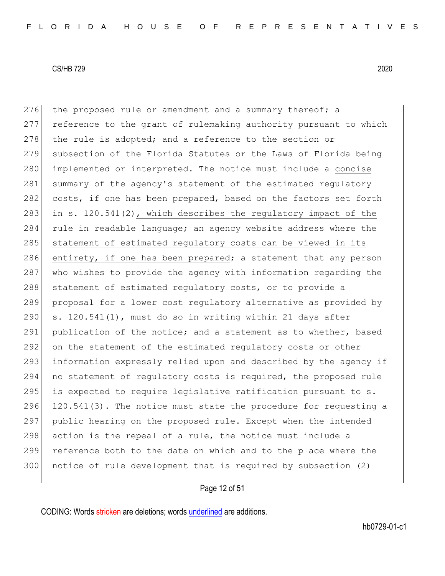276 the proposed rule or amendment and a summary thereof; a 277 reference to the grant of rulemaking authority pursuant to which  $278$  the rule is adopted; and a reference to the section or 279 subsection of the Florida Statutes or the Laws of Florida being 280 implemented or interpreted. The notice must include a concise 281 summary of the agency's statement of the estimated regulatory 282 costs, if one has been prepared, based on the factors set forth 283 in s.  $120.541(2)$ , which describes the regulatory impact of the 284 rule in readable language; an agency website address where the 285 statement of estimated regulatory costs can be viewed in its 286 entirety, if one has been prepared; a statement that any person 287 who wishes to provide the agency with information regarding the 288 statement of estimated regulatory costs, or to provide a 289 proposal for a lower cost regulatory alternative as provided by 290 s.  $120.541(1)$ , must do so in writing within 21 days after 291 publication of the notice; and a statement as to whether, based 292 on the statement of the estimated regulatory costs or other 293 information expressly relied upon and described by the agency if 294 no statement of regulatory costs is required, the proposed rule  $295$  is expected to require legislative ratification pursuant to s. 296 120.541(3). The notice must state the procedure for requesting a 297 public hearing on the proposed rule. Except when the intended 298  $|$  action is the repeal of a rule, the notice must include a 299 reference both to the date on which and to the place where the 300 notice of rule development that is required by subsection (2)

# Page 12 of 51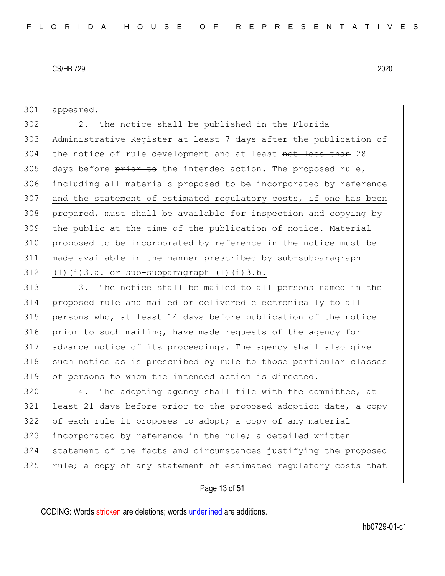301 appeared.

 2. The notice shall be published in the Florida Administrative Register at least 7 days after the publication of 304 the notice of rule development and at least not less than 28 days before  $\frac{1}{200}$  the intended action. The proposed rule, including all materials proposed to be incorporated by reference and the statement of estimated regulatory costs, if one has been 308 prepared, must shall be available for inspection and copying by the public at the time of the publication of notice. Material proposed to be incorporated by reference in the notice must be made available in the manner prescribed by sub-subparagraph (1)(i)3.a. or sub-subparagraph (1)(i)3.b.

313 313 3. The notice shall be mailed to all persons named in the 314 proposed rule and mailed or delivered electronically to all 315 persons who, at least 14 days before publication of the notice 316 prior to such mailing, have made requests of the agency for 317 advance notice of its proceedings. The agency shall also give 318 such notice as is prescribed by rule to those particular classes 319 of persons to whom the intended action is directed.

 4. The adopting agency shall file with the committee, at least 21 days before  $\frac{1}{2}$  is the proposed adoption date, a copy of each rule it proposes to adopt; a copy of any material 323 incorporated by reference in the rule; a detailed written statement of the facts and circumstances justifying the proposed 325 rule; a copy of any statement of estimated regulatory costs that

Page 13 of 51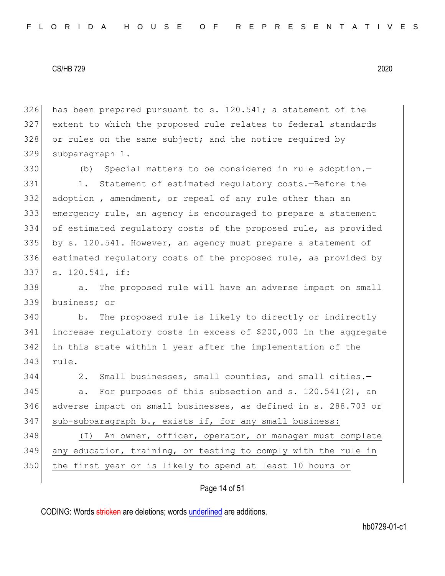has been prepared pursuant to s. 120.541; a statement of the extent to which the proposed rule relates to federal standards 328 or rules on the same subject; and the notice required by subparagraph 1.

 (b) Special matters to be considered in rule adoption. 331 1. Statement of estimated regulatory costs.-Before the adoption , amendment, or repeal of any rule other than an emergency rule, an agency is encouraged to prepare a statement of estimated regulatory costs of the proposed rule, as provided by s. 120.541. However, an agency must prepare a statement of estimated regulatory costs of the proposed rule, as provided by s. 120.541, if:

338 a. The proposed rule will have an adverse impact on small business; or

 b. The proposed rule is likely to directly or indirectly increase regulatory costs in excess of \$200,000 in the aggregate in this state within 1 year after the implementation of the rule.

2. Small businesses, small counties, and small cities.—

 a. For purposes of this subsection and s. 120.541(2), an adverse impact on small businesses, as defined in s. 288.703 or 347 sub-subparagraph b., exists if, for any small business:

348 (I) An owner, officer, operator, or manager must complete any education, training, or testing to comply with the rule in the first year or is likely to spend at least 10 hours or

### Page 14 of 51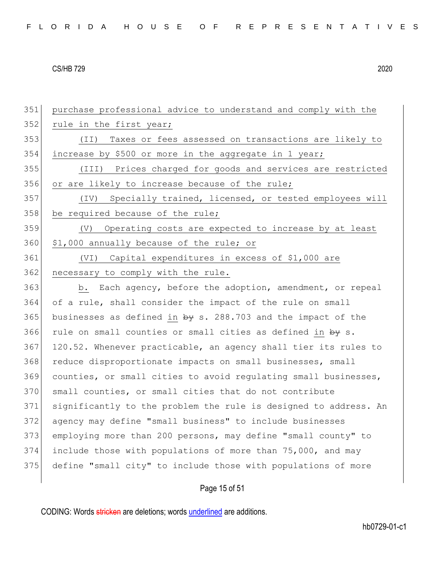| FLORIDA HOUSE OF REPRESENTATIVES |  |
|----------------------------------|--|
|----------------------------------|--|

351 purchase professional advice to understand and comply with the 352 rule in the first year; 353 (II) Taxes or fees assessed on transactions are likely to 354 increase by \$500 or more in the aggregate in 1 year; 355 (III) Prices charged for goods and services are restricted 356 or are likely to increase because of the rule; 357 (IV) Specially trained, licensed, or tested employees will 358 be required because of the rule; 359 (V) Operating costs are expected to increase by at least 360 \$1,000 annually because of the rule; or 361 (VI) Capital expenditures in excess of \$1,000 are 362 necessary to comply with the rule. 363 b. Each agency, before the adoption, amendment, or repeal 364 of a rule, shall consider the impact of the rule on small 365 businesses as defined in  $\frac{1}{2}$  s. 288.703 and the impact of the 366 rule on small counties or small cities as defined in  $by s$ . 367 120.52. Whenever practicable, an agency shall tier its rules to 368 reduce disproportionate impacts on small businesses, small 369 counties, or small cities to avoid regulating small businesses, 370 small counties, or small cities that do not contribute 371 significantly to the problem the rule is designed to address. An 372 agency may define "small business" to include businesses 373 employing more than 200 persons, may define "small county" to 374 include those with populations of more than 75,000, and may 375 define "small city" to include those with populations of more

# Page 15 of 51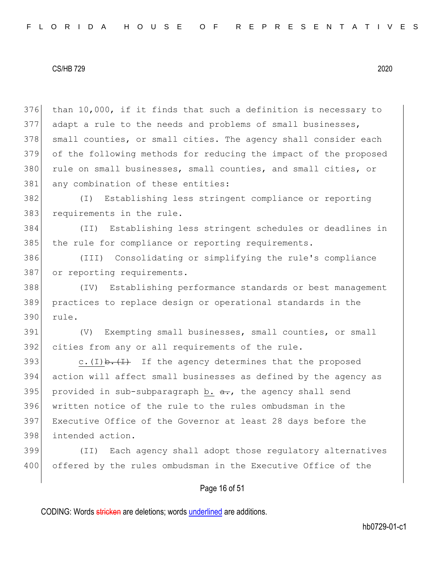376 than 10,000, if it finds that such a definition is necessary to 377 adapt a rule to the needs and problems of small businesses, 378 small counties, or small cities. The agency shall consider each 379 of the following methods for reducing the impact of the proposed 380 rule on small businesses, small counties, and small cities, or 381 any combination of these entities:

382 (I) Establishing less stringent compliance or reporting 383 requirements in the rule.

384 (II) Establishing less stringent schedules or deadlines in 385 the rule for compliance or reporting requirements.

386 (III) Consolidating or simplifying the rule's compliance 387 or reporting requirements.

388 (IV) Establishing performance standards or best management 389 practices to replace design or operational standards in the 390 rule.

391 (V) Exempting small businesses, small counties, or small 392 cities from any or all requirements of the rule.

393 c.(I)  $\frac{1}{2}$  If the agency determines that the proposed action will affect small businesses as defined by the agency as 395 provided in sub-subparagraph b.  $a_{\tau}$ , the agency shall send written notice of the rule to the rules ombudsman in the Executive Office of the Governor at least 28 days before the intended action.

399 (II) Each agency shall adopt those regulatory alternatives 400 offered by the rules ombudsman in the Executive Office of the

### Page 16 of 51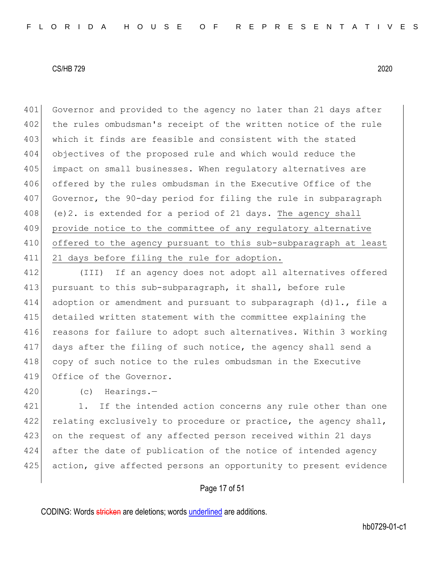401 Governor and provided to the agency no later than 21 days after 402 the rules ombudsman's receipt of the written notice of the rule 403 which it finds are feasible and consistent with the stated 404 objectives of the proposed rule and which would reduce the 405 impact on small businesses. When regulatory alternatives are 406 offered by the rules ombudsman in the Executive Office of the 407 Governor, the 90-day period for filing the rule in subparagraph  $408$  (e)2. is extended for a period of 21 days. The agency shall 409 provide notice to the committee of any regulatory alternative 410 offered to the agency pursuant to this sub-subparagraph at least 411 21 days before filing the rule for adoption.

412 (III) If an agency does not adopt all alternatives offered 413 pursuant to this sub-subparagraph, it shall, before rule 414 adoption or amendment and pursuant to subparagraph  $(d)1$ ., file a 415 detailed written statement with the committee explaining the 416 reasons for failure to adopt such alternatives. Within 3 working 417 days after the filing of such notice, the agency shall send a 418 copy of such notice to the rules ombudsman in the Executive 419 Office of the Governor.

420 (c) Hearings.—

421 1. If the intended action concerns any rule other than one 422 relating exclusively to procedure or practice, the agency shall, 423 on the request of any affected person received within 21 days 424 after the date of publication of the notice of intended agency 425 action, give affected persons an opportunity to present evidence

Page 17 of 51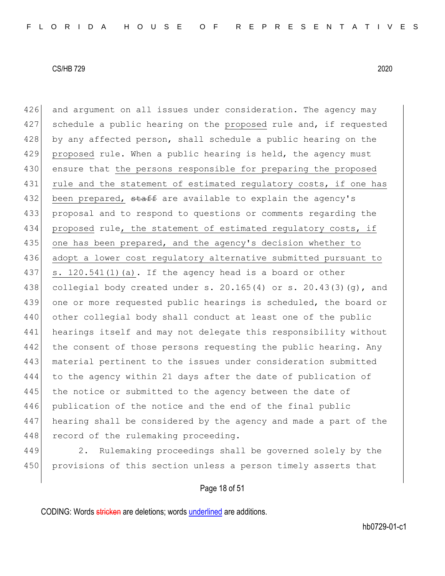426 and argument on all issues under consideration. The agency may 427 schedule a public hearing on the proposed rule and, if requested 428 by any affected person, shall schedule a public hearing on the 429 proposed rule. When a public hearing is held, the agency must 430 ensure that the persons responsible for preparing the proposed 431 rule and the statement of estimated regulatory costs, if one has 432 been prepared, staff are available to explain the agency's 433 proposal and to respond to questions or comments regarding the 434 proposed rule, the statement of estimated regulatory costs, if 435 one has been prepared, and the agency's decision whether to 436 adopt a lower cost regulatory alternative submitted pursuant to 437 s. 120.541(1)(a). If the agency head is a board or other 438 collegial body created under s. 20.165(4) or s. 20.43(3)(g), and 439 one or more requested public hearings is scheduled, the board or 440 other collegial body shall conduct at least one of the public 441 hearings itself and may not delegate this responsibility without 442 the consent of those persons requesting the public hearing. Any 443 material pertinent to the issues under consideration submitted 444 to the agency within 21 days after the date of publication of 445 the notice or submitted to the agency between the date of 446 publication of the notice and the end of the final public 447 hearing shall be considered by the agency and made a part of the 448 record of the rulemaking proceeding.

449 2. Rulemaking proceedings shall be governed solely by the 450 provisions of this section unless a person timely asserts that

Page 18 of 51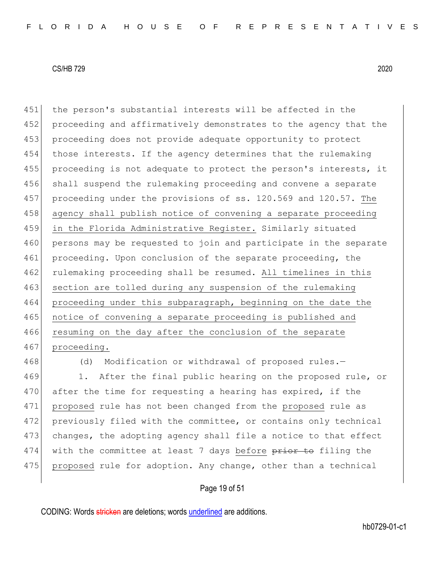451 | the person's substantial interests will be affected in the 452 proceeding and affirmatively demonstrates to the agency that the 453 proceeding does not provide adequate opportunity to protect 454 those interests. If the agency determines that the rulemaking 455 proceeding is not adequate to protect the person's interests, it 456 shall suspend the rulemaking proceeding and convene a separate 457 proceeding under the provisions of ss. 120.569 and 120.57. The 458 agency shall publish notice of convening a separate proceeding 459 in the Florida Administrative Register. Similarly situated 460 persons may be requested to join and participate in the separate 461 proceeding. Upon conclusion of the separate proceeding, the 462 rulemaking proceeding shall be resumed. All timelines in this 463 section are tolled during any suspension of the rulemaking 464 proceeding under this subparagraph, beginning on the date the 465 notice of convening a separate proceeding is published and 466 resuming on the day after the conclusion of the separate 467 proceeding.

468 (d) Modification or withdrawal of proposed rules.-469 1. After the final public hearing on the proposed rule, or 470 after the time for requesting a hearing has expired, if the 471 proposed rule has not been changed from the proposed rule as 472 previously filed with the committee, or contains only technical 473 changes, the adopting agency shall file a notice to that effect 474 with the committee at least 7 days before  $\frac{p}{p}$  be filing the 475 proposed rule for adoption. Any change, other than a technical

### Page 19 of 51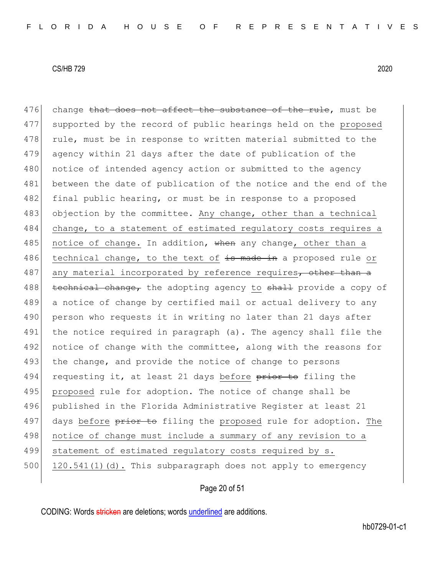476 change that does not affect the substance of the rule, must be 477 supported by the record of public hearings held on the proposed 478 rule, must be in response to written material submitted to the 479 agency within 21 days after the date of publication of the 480 notice of intended agency action or submitted to the agency 481 between the date of publication of the notice and the end of the 482 final public hearing, or must be in response to a proposed 483 objection by the committee. Any change, other than a technical 484 change, to a statement of estimated regulatory costs requires a 485 notice of change. In addition, when any change, other than a 486 technical change, to the text of  $\frac{1}{100}$  technical change, to the text of  $\frac{1}{100}$  text made in a proposed rule or 487 any material incorporated by reference requires, other than a 488 technical change, the adopting agency to shall provide a copy of 489 a notice of change by certified mail or actual delivery to any 490 person who requests it in writing no later than 21 days after 491 the notice required in paragraph (a). The agency shall file the 492 notice of change with the committee, along with the reasons for 493 the change, and provide the notice of change to persons 494 requesting it, at least 21 days before  $\frac{\pi}{\pi}$  to filing the 495 proposed rule for adoption. The notice of change shall be 496 published in the Florida Administrative Register at least 21 497 days before prior to filing the proposed rule for adoption. The 498 notice of change must include a summary of any revision to a 499 statement of estimated regulatory costs required by s. 500 120.541(1)(d). This subparagraph does not apply to emergency

# Page 20 of 51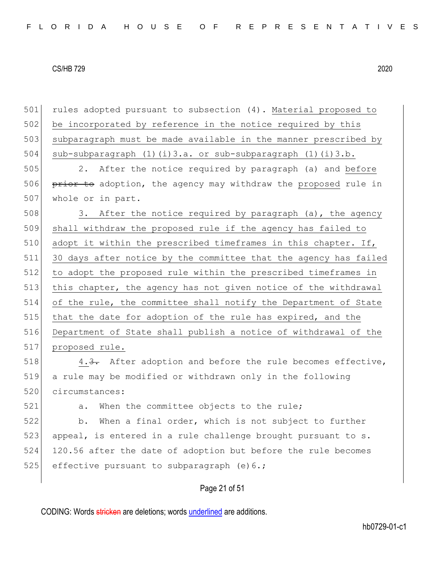Page 21 of 51 501 rules adopted pursuant to subsection (4). Material proposed to 502 be incorporated by reference in the notice required by this 503 subparagraph must be made available in the manner prescribed by 504 sub-subparagraph (1)(i)3.a. or sub-subparagraph (1)(i)3.b. 505 2. After the notice required by paragraph (a) and before 506 prior to adoption, the agency may withdraw the proposed rule in 507 whole or in part. 508 3. After the notice required by paragraph (a), the agency 509 shall withdraw the proposed rule if the agency has failed to 510 adopt it within the prescribed timeframes in this chapter. If, 511 30 days after notice by the committee that the agency has failed 512 to adopt the proposed rule within the prescribed timeframes in 513 this chapter, the agency has not given notice of the withdrawal 514 of the rule, the committee shall notify the Department of State 515 that the date for adoption of the rule has expired, and the 516 Department of State shall publish a notice of withdrawal of the 517 proposed rule. 518 4.3. After adoption and before the rule becomes effective, 519 a rule may be modified or withdrawn only in the following 520 circumstances: 521 a. When the committee objects to the rule; 522 b. When a final order, which is not subject to further 523 appeal, is entered in a rule challenge brought pursuant to s. 524 120.56 after the date of adoption but before the rule becomes 525 effective pursuant to subparagraph  $(e)$  6.;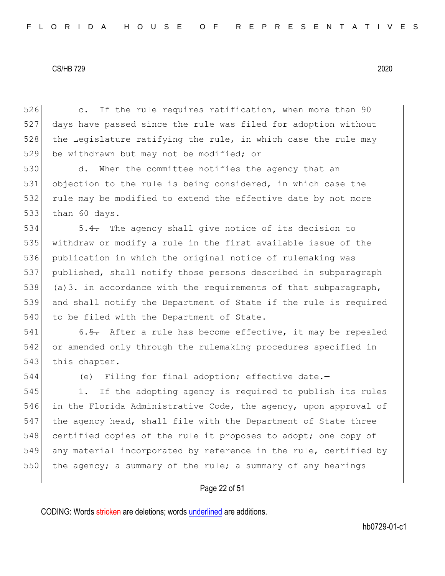526 c. If the rule requires ratification, when more than 90 527 days have passed since the rule was filed for adoption without 528 the Legislature ratifying the rule, in which case the rule may 529 be withdrawn but may not be modified; or

530 d. When the committee notifies the agency that an 531 objection to the rule is being considered, in which case the 532 rule may be modified to extend the effective date by not more 533 than 60 days.

534 5.4. The agency shall give notice of its decision to 535 withdraw or modify a rule in the first available issue of the 536 publication in which the original notice of rulemaking was 537 published, shall notify those persons described in subparagraph 538 (a)3. in accordance with the requirements of that subparagraph, 539 and shall notify the Department of State if the rule is required 540 to be filed with the Department of State.

541 6.5. After a rule has become effective, it may be repealed 542 or amended only through the rulemaking procedures specified in 543 this chapter.

544 (e) Filing for final adoption; effective date.—

545 1. If the adopting agency is required to publish its rules 546 in the Florida Administrative Code, the agency, upon approval of 547 the agency head, shall file with the Department of State three 548 certified copies of the rule it proposes to adopt; one copy of 549 any material incorporated by reference in the rule, certified by 550 the agency; a summary of the rule; a summary of any hearings

#### Page 22 of 51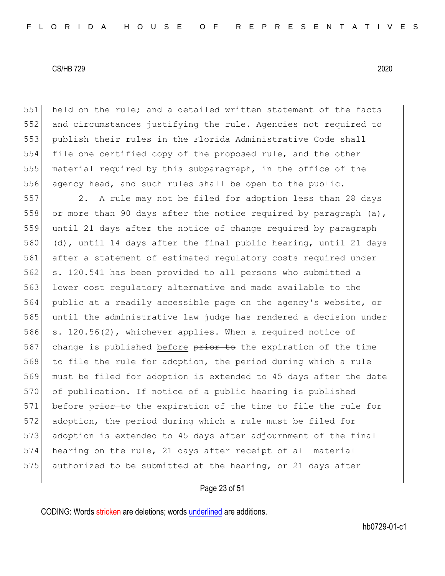held on the rule; and a detailed written statement of the facts 552 and circumstances justifying the rule. Agencies not required to publish their rules in the Florida Administrative Code shall file one certified copy of the proposed rule, and the other material required by this subparagraph, in the office of the 556 agency head, and such rules shall be open to the public.

557 2. A rule may not be filed for adoption less than 28 days 558 or more than 90 days after the notice required by paragraph  $(a)$ , 559 until 21 days after the notice of change required by paragraph 560 (d), until 14 days after the final public hearing, until 21 days 561 after a statement of estimated regulatory costs required under 562 s. 120.541 has been provided to all persons who submitted a 563 lower cost regulatory alternative and made available to the 564 public at a readily accessible page on the agency's website, or 565 until the administrative law judge has rendered a decision under 566 s. 120.56(2), whichever applies. When a required notice of 567 change is published before prior to the expiration of the time 568 to file the rule for adoption, the period during which a rule 569 must be filed for adoption is extended to 45 days after the date 570 of publication. If notice of a public hearing is published 571 before prior to the expiration of the time to file the rule for 572 adoption, the period during which a rule must be filed for 573 adoption is extended to 45 days after adjournment of the final 574 hearing on the rule, 21 days after receipt of all material 575 authorized to be submitted at the hearing, or 21 days after

### Page 23 of 51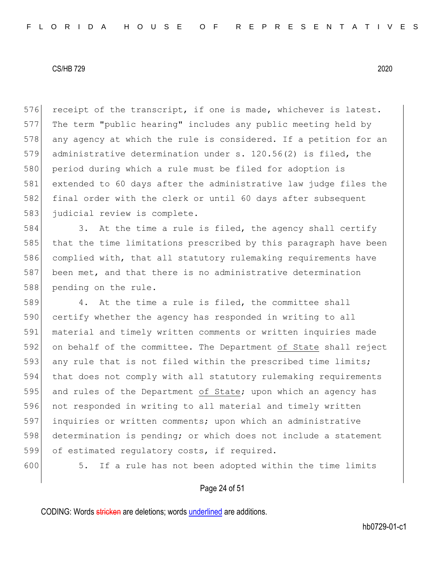576 receipt of the transcript, if one is made, whichever is latest. 577 The term "public hearing" includes any public meeting held by 578 any agency at which the rule is considered. If a petition for an 579 administrative determination under s. 120.56(2) is filed, the 580 period during which a rule must be filed for adoption is 581 extended to 60 days after the administrative law judge files the 582 final order with the clerk or until 60 days after subsequent 583 judicial review is complete.

584 3. At the time a rule is filed, the agency shall certify 585 that the time limitations prescribed by this paragraph have been 586 complied with, that all statutory rulemaking requirements have 587 been met, and that there is no administrative determination 588 pending on the rule.

589 4. At the time a rule is filed, the committee shall 590 certify whether the agency has responded in writing to all material and timely written comments or written inquiries made on behalf of the committee. The Department of State shall reject 593 any rule that is not filed within the prescribed time limits; that does not comply with all statutory rulemaking requirements 595 and rules of the Department of State; upon which an agency has not responded in writing to all material and timely written inquiries or written comments; upon which an administrative determination is pending; or which does not include a statement of estimated regulatory costs, if required.

600 5. If a rule has not been adopted within the time limits

### Page 24 of 51

CODING: Words stricken are deletions; words underlined are additions.

hb0729-01-c1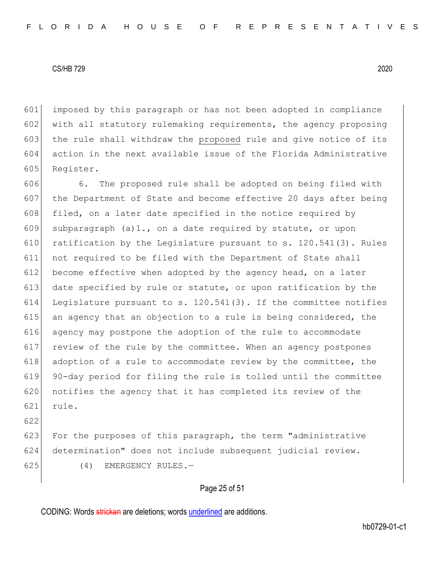601 imposed by this paragraph or has not been adopted in compliance 602 with all statutory rulemaking requirements, the agency proposing 603 the rule shall withdraw the proposed rule and give notice of its 604 action in the next available issue of the Florida Administrative 605 Register.

606 6. The proposed rule shall be adopted on being filed with 607 the Department of State and become effective 20 days after being 608 filed, on a later date specified in the notice required by 609 subparagraph (a)1., on a date required by statute, or upon 610 ratification by the Legislature pursuant to s.  $120.541(3)$ . Rules 611 not required to be filed with the Department of State shall 612 become effective when adopted by the agency head, on a later 613 date specified by rule or statute, or upon ratification by the 614 Legislature pursuant to s.  $120.541(3)$ . If the committee notifies 615 an agency that an objection to a rule is being considered, the 616 agency may postpone the adoption of the rule to accommodate 617 review of the rule by the committee. When an agency postpones 618 adoption of a rule to accommodate review by the committee, the 619 90-day period for filing the rule is tolled until the committee 620 notifies the agency that it has completed its review of the 621 rule.

622

623 For the purposes of this paragraph, the term "administrative 624 determination" does not include subsequent judicial review. 625 (4) EMERGENCY RULES.

### Page 25 of 51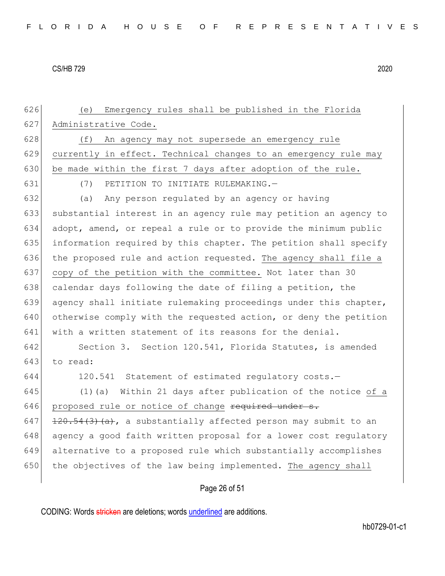626 (e) Emergency rules shall be published in the Florida 627 Administrative Code. 628 (f) An agency may not supersede an emergency rule 629 currently in effect. Technical changes to an emergency rule may 630 be made within the first 7 days after adoption of the rule. 631 (7) PETITION TO INITIATE RULEMAKING.— 632 (a) Any person regulated by an agency or having 633 substantial interest in an agency rule may petition an agency to 634 adopt, amend, or repeal a rule or to provide the minimum public 635 information required by this chapter. The petition shall specify 636 the proposed rule and action requested. The agency shall file a 637 copy of the petition with the committee. Not later than 30 638 calendar days following the date of filing a petition, the 639 agency shall initiate rulemaking proceedings under this chapter, 640 otherwise comply with the requested action, or deny the petition 641 with a written statement of its reasons for the denial. 642 Section 3. Section 120.541, Florida Statutes, is amended  $643$  to read: 644 120.541 Statement of estimated regulatory costs.— 645 (1)(a) Within 21 days after publication of the notice of a  $646$  proposed rule or notice of change required under s. 647  $\left| \frac{120.54(3)(a)}{a} \right|$ , a substantially affected person may submit to an 648 agency a good faith written proposal for a lower cost regulatory 649 alternative to a proposed rule which substantially accomplishes 650 the objectives of the law being implemented. The agency shall

Page 26 of 51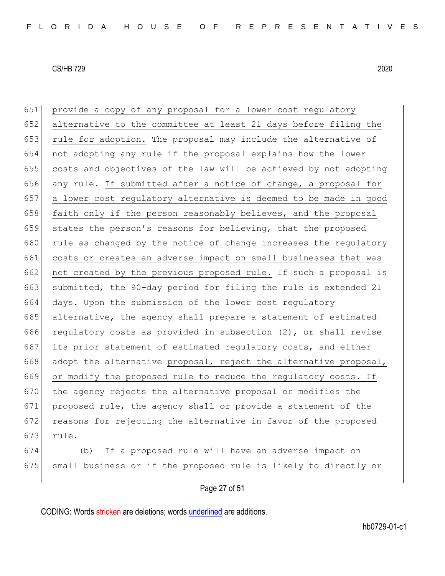651 provide a copy of any proposal for a lower cost regulatory 652 alternative to the committee at least 21 days before filing the 653 rule for adoption. The proposal may include the alternative of 654 not adopting any rule if the proposal explains how the lower 655 costs and objectives of the law will be achieved by not adopting 656 any rule. If submitted after a notice of change, a proposal for 657 a lower cost regulatory alternative is deemed to be made in good 658 faith only if the person reasonably believes, and the proposal 659 states the person's reasons for believing, that the proposed 660 rule as changed by the notice of change increases the regulatory 661 costs or creates an adverse impact on small businesses that was 662 not created by the previous proposed rule. If such a proposal is 663 submitted, the 90-day period for filing the rule is extended 21 664 days. Upon the submission of the lower cost regulatory 665 alternative, the agency shall prepare a statement of estimated 666 regulatory costs as provided in subsection (2), or shall revise 667 its prior statement of estimated regulatory costs, and either 668 adopt the alternative proposal, reject the alternative proposal, 669 or modify the proposed rule to reduce the regulatory costs. If 670 the agency rejects the alternative proposal or modifies the 671 proposed rule, the agency shall  $\theta$ r provide a statement of the 672 reasons for rejecting the alternative in favor of the proposed 673 rule.

674 (b) If a proposed rule will have an adverse impact on 675 small business or if the proposed rule is likely to directly or

Page 27 of 51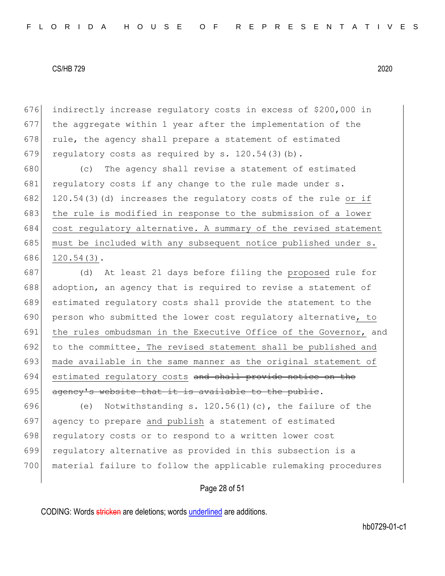676 indirectly increase regulatory costs in excess of \$200,000 in 677 the aggregate within 1 year after the implementation of the 678 rule, the agency shall prepare a statement of estimated 679 regulatory costs as required by s.  $120.54(3)(b)$ .

680 (c) The agency shall revise a statement of estimated 681 regulatory costs if any change to the rule made under s. 682 120.54(3)(d) increases the regulatory costs of the rule or if 683 the rule is modified in response to the submission of a lower 684 cost regulatory alternative. A summary of the revised statement 685 must be included with any subsequent notice published under s. 686 120.54(3).

687 (d) At least 21 days before filing the proposed rule for 688 adoption, an agency that is required to revise a statement of 689 estimated regulatory costs shall provide the statement to the 690 person who submitted the lower cost regulatory alternative, to 691 the rules ombudsman in the Executive Office of the Governor, and 692 to the committee. The revised statement shall be published and 693 made available in the same manner as the original statement of 694 estimated regulatory costs and shall provide notice on the 695  $\overline{a}$  agency's website that it is available to the public.

696 (e) Notwithstanding s.  $120.56(1)(c)$ , the failure of the 697 agency to prepare and publish a statement of estimated 698 regulatory costs or to respond to a written lower cost 699 regulatory alternative as provided in this subsection is a 700 material failure to follow the applicable rulemaking procedures

#### Page 28 of 51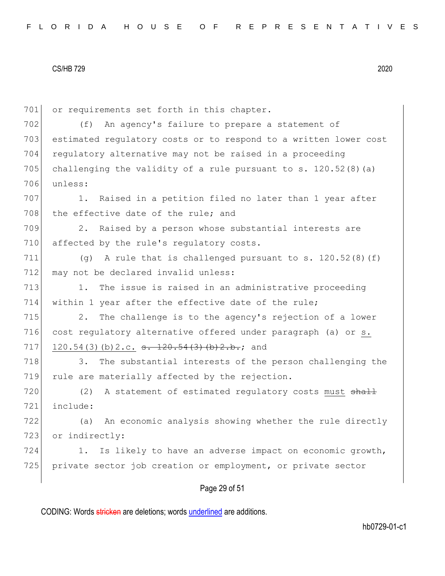701 or requirements set forth in this chapter. 702 (f) An agency's failure to prepare a statement of 703 estimated regulatory costs or to respond to a written lower cost 704 regulatory alternative may not be raised in a proceeding 705 challenging the validity of a rule pursuant to s. 120.52(8)(a) 706 unless: 707 1. Raised in a petition filed no later than 1 year after 708 the effective date of the rule; and 709 2. Raised by a person whose substantial interests are 710 affected by the rule's requiatory costs. 711 (g) A rule that is challenged pursuant to s. 120.52(8)(f) 712 may not be declared invalid unless: 713 1. The issue is raised in an administrative proceeding 714 within 1 year after the effective date of the rule; 715 2. The challenge is to the agency's rejection of a lower 716 cost regulatory alternative offered under paragraph (a) or s. 717 120.54(3)(b)2.c. <del>s. 120.54(3)(b)2.b.</del>; and 718 3. The substantial interests of the person challenging the 719 rule are materially affected by the rejection. 720  $(2)$  A statement of estimated regulatory costs must shall 721 include: 722 (a) An economic analysis showing whether the rule directly 723 or indirectly: 724 1. Is likely to have an adverse impact on economic growth, 725 private sector job creation or employment, or private sector

# Page 29 of 51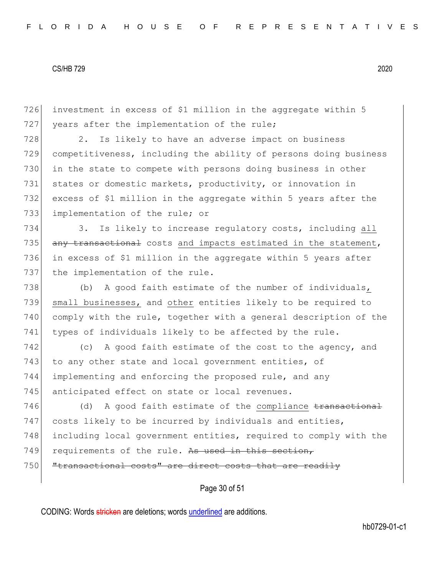Page 30 of 51 726 investment in excess of \$1 million in the aggregate within 5 727 years after the implementation of the rule; 728 2. Is likely to have an adverse impact on business 729 competitiveness, including the ability of persons doing business 730 in the state to compete with persons doing business in other 731 states or domestic markets, productivity, or innovation in 732 excess of \$1 million in the aggregate within 5 years after the 733 implementation of the rule; or 734 3. Is likely to increase regulatory costs, including all 735 any transactional costs and impacts estimated in the statement, 736 in excess of \$1 million in the aggregate within 5 years after 737 the implementation of the rule. 738 (b) A good faith estimate of the number of individuals, 739 small businesses, and other entities likely to be required to 740 comply with the rule, together with a general description of the 741 types of individuals likely to be affected by the rule. 742 (c) A good faith estimate of the cost to the agency, and 743 to any other state and local government entities, of 744 implementing and enforcing the proposed rule, and any 745 anticipated effect on state or local revenues. 746 (d) A good faith estimate of the compliance transactional 747 costs likely to be incurred by individuals and entities, 748 including local government entities, required to comply with the 749 requirements of the rule. As used in this section, 750 | "transactional costs" are direct costs that are readily

CODING: Words stricken are deletions; words underlined are additions.

hb0729-01-c1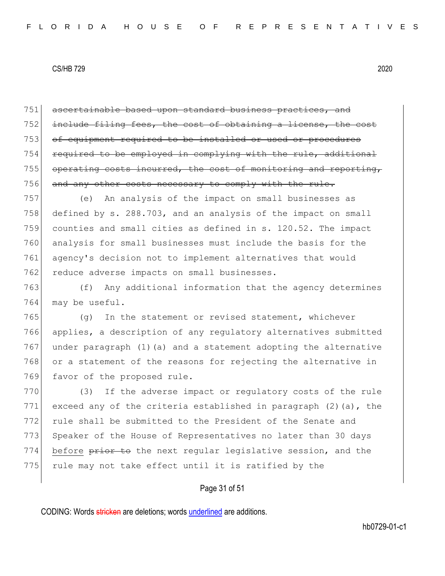751 ascertainable based upon standard business practices, and 752 include filing fees, the cost of obtaining a license, the cost 753 of equipment required to be installed or used or procedures 754 required to be employed in complying with the rule, additional 755 operating costs incurred, the cost of monitoring and reporting, 756 and any other costs necessary to comply with the rule.

757 (e) An analysis of the impact on small businesses as 758 defined by s. 288.703, and an analysis of the impact on small 759 counties and small cities as defined in s. 120.52. The impact 760 analysis for small businesses must include the basis for the 761 agency's decision not to implement alternatives that would 762 reduce adverse impacts on small businesses.

763 (f) Any additional information that the agency determines 764 may be useful.

 $765$  (q) In the statement or revised statement, whichever 766 applies, a description of any regulatory alternatives submitted 767 under paragraph (1)(a) and a statement adopting the alternative 768 or a statement of the reasons for rejecting the alternative in 769 favor of the proposed rule.

770 (3) If the adverse impact or regulatory costs of the rule 771 exceed any of the criteria established in paragraph  $(2)$  (a), the 772 rule shall be submitted to the President of the Senate and 773 Speaker of the House of Representatives no later than 30 days 774 before prior to the next regular legislative session, and the 775 rule may not take effect until it is ratified by the

### Page 31 of 51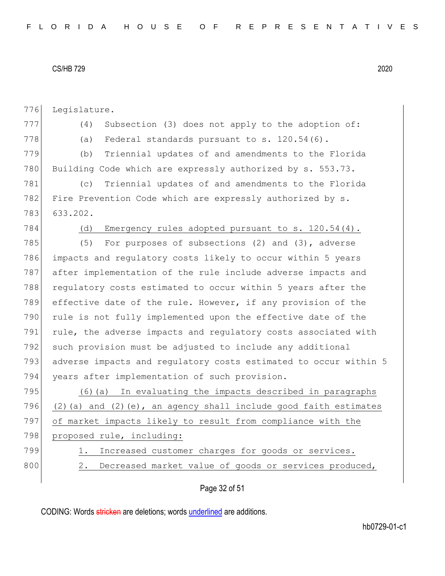776 Legislature.

777 (4) Subsection (3) does not apply to the adoption of: 778 (a) Federal standards pursuant to s.  $120.54(6)$ .

779 (b) Triennial updates of and amendments to the Florida 780 Building Code which are expressly authorized by s. 553.73.

781 (c) Triennial updates of and amendments to the Florida 782 Fire Prevention Code which are expressly authorized by s. 783 633.202.

784 (d) Emergency rules adopted pursuant to s. 120.54(4).

785 (5) For purposes of subsections (2) and (3), adverse 786 impacts and regulatory costs likely to occur within 5 years 787 after implementation of the rule include adverse impacts and 788 regulatory costs estimated to occur within 5 years after the 789 effective date of the rule. However, if any provision of the 790 rule is not fully implemented upon the effective date of the 791 rule, the adverse impacts and regulatory costs associated with 792 such provision must be adjusted to include any additional 793 adverse impacts and regulatory costs estimated to occur within 5 794 years after implementation of such provision.

795 (6)(a) In evaluating the impacts described in paragraphs 796 (2)(a) and (2)(e), an agency shall include good faith estimates 797 of market impacts likely to result from compliance with the 798 proposed rule, including:

- 
- 

799 1. Increased customer charges for goods or services.

800 2. Decreased market value of goods or services produced,

Page 32 of 51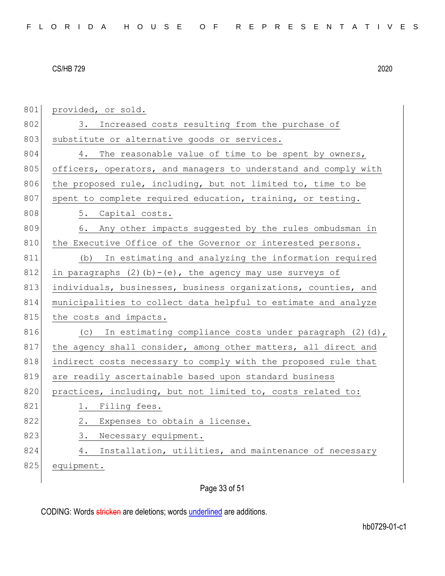801 provided, or sold. 802 3. Increased costs resulting from the purchase of 803 substitute or alternative goods or services. 804 4. The reasonable value of time to be spent by owners, 805 officers, operators, and managers to understand and comply with 806 the proposed rule, including, but not limited to, time to be 807 spent to complete required education, training, or testing. 808 5. Capital costs. 809 6. Any other impacts suggested by the rules ombudsman in 810 the Executive Office of the Governor or interested persons. 811 (b) In estimating and analyzing the information required 812 in paragraphs (2)(b) - (e), the agency may use surveys of 813 individuals, businesses, business organizations, counties, and 814 municipalities to collect data helpful to estimate and analyze 815 the costs and impacts. 816 (c) In estimating compliance costs under paragraph (2)(d), 817 the agency shall consider, among other matters, all direct and 818 indirect costs necessary to comply with the proposed rule that 819 are readily ascertainable based upon standard business 820 practices, including, but not limited to, costs related to: 821 1. Filing fees. 822 2. Expenses to obtain a license. 823 3. Necessary equipment. 824 4. Installation, utilities, and maintenance of necessary 825 equipment.

Page 33 of 51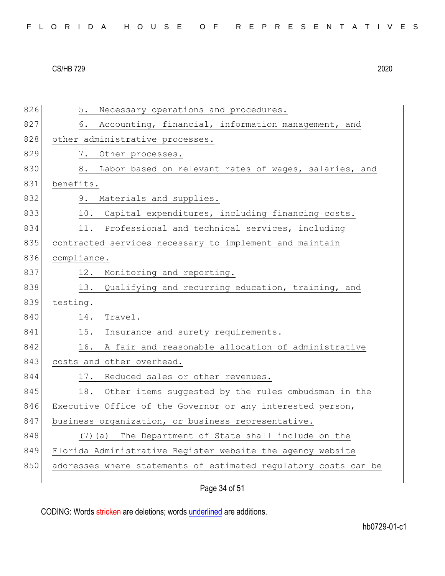|  |  |  | FLORIDA HOUSE OF REPRESENTATIVES |  |  |  |  |  |  |  |  |  |  |  |  |  |  |
|--|--|--|----------------------------------|--|--|--|--|--|--|--|--|--|--|--|--|--|--|
|--|--|--|----------------------------------|--|--|--|--|--|--|--|--|--|--|--|--|--|--|

| 826 | 5. Necessary operations and procedures.                         |
|-----|-----------------------------------------------------------------|
| 827 | Accounting, financial, information management, and<br>6.        |
| 828 | other administrative processes.                                 |
| 829 | 7. Other processes.                                             |
| 830 | Labor based on relevant rates of wages, salaries, and<br>8.     |
| 831 | benefits.                                                       |
| 832 | 9. Materials and supplies.                                      |
| 833 | 10. Capital expenditures, including financing costs.            |
| 834 | 11. Professional and technical services, including              |
| 835 | contracted services necessary to implement and maintain         |
| 836 | compliance.                                                     |
| 837 | 12. Monitoring and reporting.                                   |
| 838 | 13. Qualifying and recurring education, training, and           |
| 839 | testing.                                                        |
| 840 | Travel.<br>14.                                                  |
| 841 | 15. Insurance and surety requirements.                          |
| 842 | 16. A fair and reasonable allocation of administrative          |
| 843 | costs and other overhead.                                       |
| 844 | 17. Reduced sales or other revenues.                            |
| 845 | Other items suggested by the rules ombudsman in the<br>18.      |
| 846 | Executive Office of the Governor or any interested person,      |
| 847 | business organization, or business representative.              |
| 848 | The Department of State shall include on the<br>$(7)$ (a)       |
| 849 | Florida Administrative Register website the agency website      |
| 850 | addresses where statements of estimated regulatory costs can be |
|     |                                                                 |

Page 34 of 51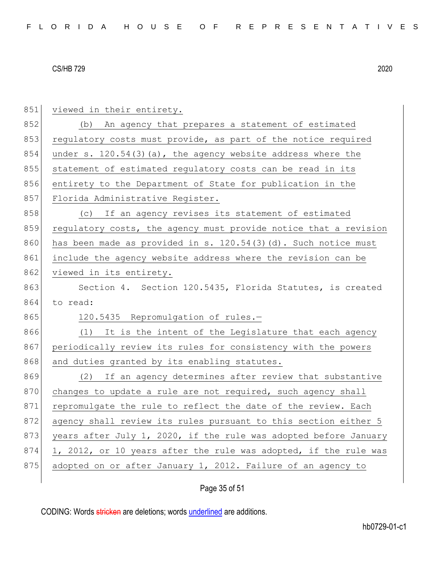851 viewed in their entirety. 852 (b) An agency that prepares a statement of estimated 853 regulatory costs must provide, as part of the notice required 854 under s.  $120.54(3)(a)$ , the agency website address where the 855 statement of estimated requlatory costs can be read in its 856 entirety to the Department of State for publication in the 857 Florida Administrative Register. 858 (c) If an agency revises its statement of estimated 859 regulatory costs, the agency must provide notice that a revision 860 has been made as provided in s.  $120.54(3)(d)$ . Such notice must 861 include the agency website address where the revision can be 862 viewed in its entirety. 863 Section 4. Section 120.5435, Florida Statutes, is created 864 to read: 865 120.5435 Repromulgation of rules.-866 (1) It is the intent of the Legislature that each agency 867 periodically review its rules for consistency with the powers 868 and duties granted by its enabling statutes. 869 (2) If an agency determines after review that substantive 870 changes to update a rule are not required, such agency shall 871 repromulgate the rule to reflect the date of the review. Each 872 agency shall review its rules pursuant to this section either 5 873 years after July 1, 2020, if the rule was adopted before January  $874$  1, 2012, or 10 years after the rule was adopted, if the rule was 875 adopted on or after January 1, 2012. Failure of an agency to

# Page 35 of 51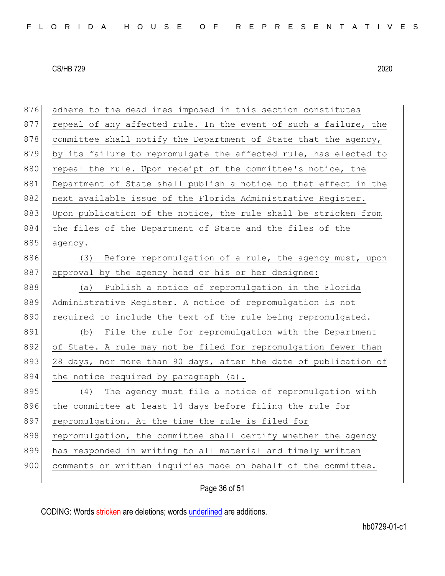| 876 | adhere to the deadlines imposed in this section constitutes      |
|-----|------------------------------------------------------------------|
| 877 | repeal of any affected rule. In the event of such a failure, the |
| 878 | committee shall notify the Department of State that the agency,  |
| 879 | by its failure to repromulgate the affected rule, has elected to |
| 880 | repeal the rule. Upon receipt of the committee's notice, the     |
| 881 | Department of State shall publish a notice to that effect in the |
| 882 | next available issue of the Florida Administrative Register.     |
| 883 | Upon publication of the notice, the rule shall be stricken from  |
| 884 | the files of the Department of State and the files of the        |
| 885 | agency.                                                          |
| 886 | Before repromulgation of a rule, the agency must, upon<br>(3)    |
| 887 | approval by the agency head or his or her designee:              |
| 888 | Publish a notice of repromulgation in the Florida<br>(a)         |
| 889 | Administrative Register. A notice of repromulgation is not       |
| 890 | required to include the text of the rule being repromulgated.    |
| 891 | File the rule for repromulgation with the Department<br>(b)      |
| 892 | of State. A rule may not be filed for repromulgation fewer than  |
| 893 | 28 days, nor more than 90 days, after the date of publication of |
| 894 | the notice required by paragraph (a).                            |
| 895 | The agency must file a notice of repromulgation with<br>(4)      |
| 896 | the committee at least 14 days before filing the rule for        |
| 897 | repromulgation. At the time the rule is filed for                |
| 898 |                                                                  |
|     | repromulgation, the committee shall certify whether the agency   |
| 899 | has responded in writing to all material and timely written      |
| 900 | comments or written inquiries made on behalf of the committee.   |

# Page 36 of 51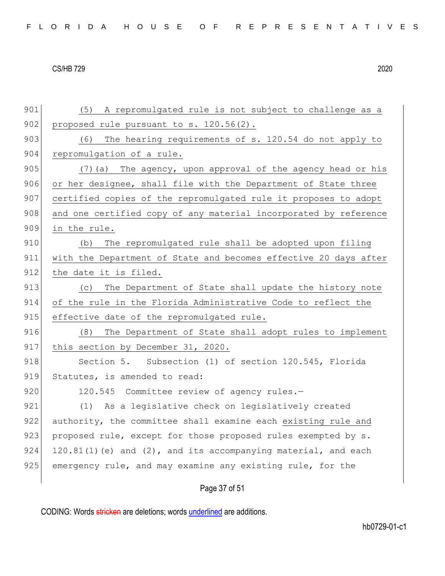Page 37 of 51 901 (5) A repromulgated rule is not subject to challenge as a 902 proposed rule pursuant to s.  $120.56(2)$ . 903 (6) The hearing requirements of s. 120.54 do not apply to 904 repromulgation of a rule. 905 (7)(a) The agency, upon approval of the agency head or his 906 or her designee, shall file with the Department of State three 907 certified copies of the repromulgated rule it proposes to adopt 908 and one certified copy of any material incorporated by reference 909 in the rule. 910 (b) The repromulgated rule shall be adopted upon filing 911 with the Department of State and becomes effective 20 days after 912 the date it is filed. 913 (c) The Department of State shall update the history note 914 of the rule in the Florida Administrative Code to reflect the 915 effective date of the repromulgated rule. 916 (8) The Department of State shall adopt rules to implement 917 this section by December 31, 2020. 918 Section 5. Subsection (1) of section 120.545, Florida 919 Statutes, is amended to read: 920 120.545 Committee review of agency rules.-921 (1) As a legislative check on legislatively created 922 authority, the committee shall examine each existing rule and 923 proposed rule, except for those proposed rules exempted by s. 924 120.81(1)(e) and  $(2)$ , and its accompanying material, and each 925 emergency rule, and may examine any existing rule, for the

CODING: Words stricken are deletions; words underlined are additions.

hb0729-01-c1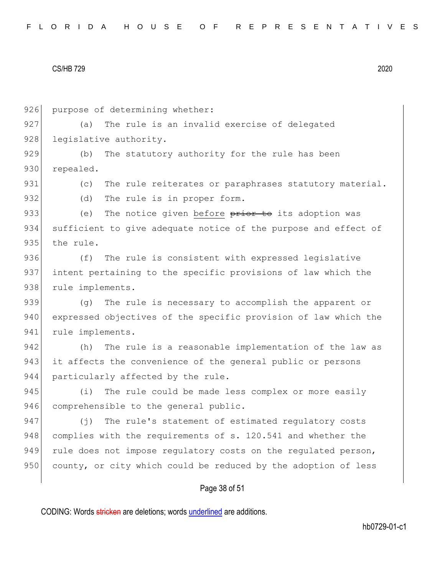|  |  |  |  |  |  |  |  | FLORIDA HOUSE OF REPRESENTATIVES |  |  |  |  |  |  |  |  |  |  |  |  |  |  |  |  |  |  |  |  |  |  |  |  |  |
|--|--|--|--|--|--|--|--|----------------------------------|--|--|--|--|--|--|--|--|--|--|--|--|--|--|--|--|--|--|--|--|--|--|--|--|--|
|--|--|--|--|--|--|--|--|----------------------------------|--|--|--|--|--|--|--|--|--|--|--|--|--|--|--|--|--|--|--|--|--|--|--|--|--|

Page 38 of 51 926 purpose of determining whether: 927 (a) The rule is an invalid exercise of delegated 928 legislative authority. 929 (b) The statutory authority for the rule has been 930 repealed. 931 (c) The rule reiterates or paraphrases statutory material. 932 (d) The rule is in proper form. 933 (e) The notice given before prior to its adoption was 934 sufficient to give adequate notice of the purpose and effect of 935 the rule. 936 (f) The rule is consistent with expressed legislative 937 intent pertaining to the specific provisions of law which the 938 rule implements. 939 (g) The rule is necessary to accomplish the apparent or 940 expressed objectives of the specific provision of law which the 941 rule implements. 942 (h) The rule is a reasonable implementation of the law as 943 it affects the convenience of the general public or persons 944 particularly affected by the rule. 945 (i) The rule could be made less complex or more easily 946 comprehensible to the general public. 947 (j) The rule's statement of estimated regulatory costs 948 complies with the requirements of s. 120.541 and whether the 949 rule does not impose regulatory costs on the regulated person, 950 county, or city which could be reduced by the adoption of less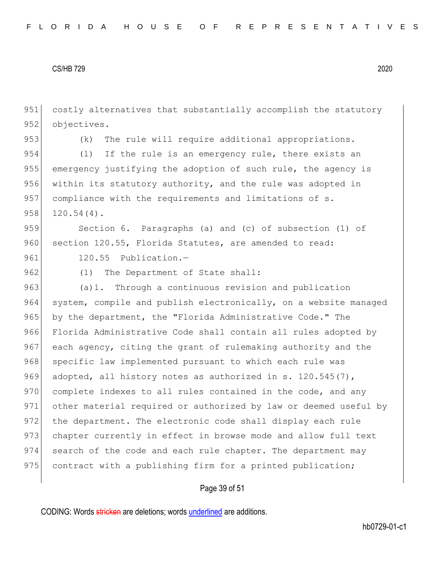951 costly alternatives that substantially accomplish the statutory 952 objectives.

953 (k) The rule will require additional appropriations.

954 (1) If the rule is an emergency rule, there exists an 955 emergency justifying the adoption of such rule, the agency is 956 within its statutory authority, and the rule was adopted in 957 compliance with the requirements and limitations of s.  $958$  120.54(4).

959 Section 6. Paragraphs (a) and (c) of subsection (1) of 960 section 120.55, Florida Statutes, are amended to read:

961 120.55 Publication.-

962 (1) The Department of State shall:

963 (a)1. Through a continuous revision and publication 964 system, compile and publish electronically, on a website managed 965 by the department, the "Florida Administrative Code." The 966 Florida Administrative Code shall contain all rules adopted by 967 each agency, citing the grant of rulemaking authority and the 968 specific law implemented pursuant to which each rule was 969 adopted, all history notes as authorized in s. 120.545(7), 970 complete indexes to all rules contained in the code, and any 971 other material required or authorized by law or deemed useful by 972 the department. The electronic code shall display each rule 973 chapter currently in effect in browse mode and allow full text 974 search of the code and each rule chapter. The department may 975 contract with a publishing firm for a printed publication;

### Page 39 of 51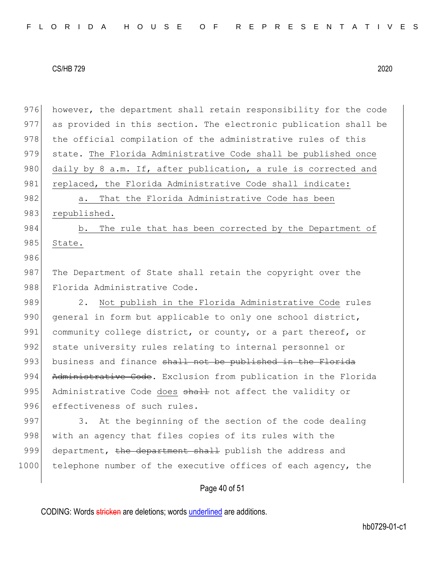| 976  | however, the department shall retain responsibility for the code |
|------|------------------------------------------------------------------|
| 977  | as provided in this section. The electronic publication shall be |
| 978  | the official compilation of the administrative rules of this     |
| 979  | state. The Florida Administrative Code shall be published once   |
| 980  | daily by 8 a.m. If, after publication, a rule is corrected and   |
| 981  | replaced, the Florida Administrative Code shall indicate:        |
| 982  | That the Florida Administrative Code has been<br>$a$ .           |
| 983  | republished.                                                     |
| 984  | The rule that has been corrected by the Department of<br>b.      |
| 985  | State.                                                           |
| 986  |                                                                  |
| 987  | The Department of State shall retain the copyright over the      |
| 988  | Florida Administrative Code.                                     |
| 989  | Not publish in the Florida Administrative Code rules<br>2.       |
| 990  | general in form but applicable to only one school district,      |
| 991  | community college district, or county, or a part thereof, or     |
| 992  | state university rules relating to internal personnel or         |
| 993  | business and finance shall not be published in the Florida       |
| 994  | Administrative Code. Exclusion from publication in the Florida   |
| 995  | Administrative Code does shall not affect the validity or        |
| 996  | effectiveness of such rules.                                     |
| 997  | At the beginning of the section of the code dealing<br>3.        |
| 998  | with an agency that files copies of its rules with the           |
| 999  | department, the department shall publish the address and         |
| 1000 | telephone number of the executive offices of each agency, the    |
|      |                                                                  |

# Page 40 of 51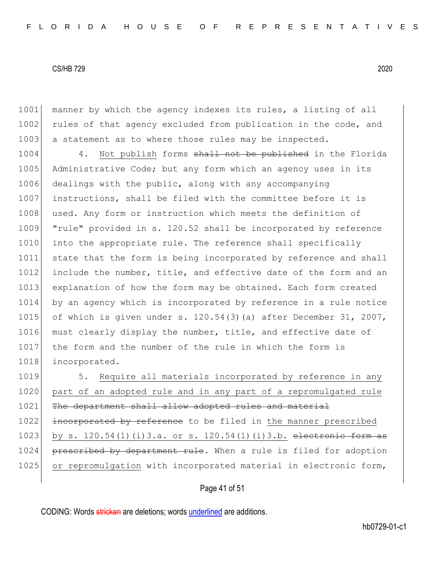1001 manner by which the agency indexes its rules, a listing of all 1002 rules of that agency excluded from publication in the code, and 1003 a statement as to where those rules may be inspected.

1004 4. Not publish forms shall not be published in the Florida 1005 Administrative Code; but any form which an agency uses in its 1006 dealings with the public, along with any accompanying 1007 instructions, shall be filed with the committee before it is 1008 used. Any form or instruction which meets the definition of 1009 "rule" provided in s. 120.52 shall be incorporated by reference 1010 into the appropriate rule. The reference shall specifically 1011 state that the form is being incorporated by reference and shall 1012 include the number, title, and effective date of the form and an 1013 explanation of how the form may be obtained. Each form created 1014 by an agency which is incorporated by reference in a rule notice 1015 of which is given under s. 120.54(3)(a) after December 31, 2007, 1016 must clearly display the number, title, and effective date of 1017 the form and the number of the rule in which the form is 1018 incorporated.

1019 5. Require all materials incorporated by reference in any 1020 part of an adopted rule and in any part of a repromulgated rule 1021 The department shall allow adopted rules and material 1022 incorporated by reference to be filed in the manner prescribed 1023 by s.  $120.54(1)(i)3.a.$  or s.  $120.54(1)(i)3.b.$  electronic form as 1024 prescribed by department rule. When a rule is filed for adoption 1025 or repromulgation with incorporated material in electronic form,

### Page 41 of 51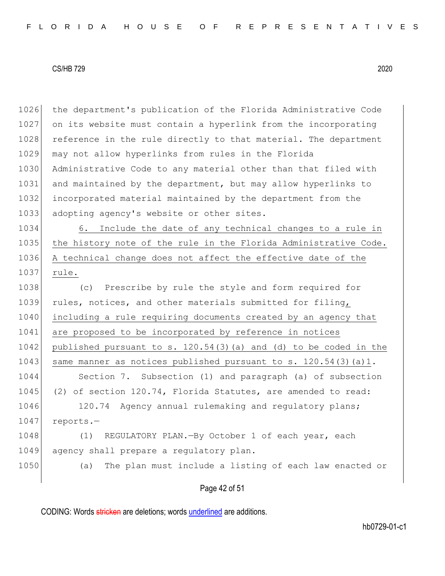1026 the department's publication of the Florida Administrative Code 1027 on its website must contain a hyperlink from the incorporating 1028 reference in the rule directly to that material. The department 1029 may not allow hyperlinks from rules in the Florida 1030 Administrative Code to any material other than that filed with 1031 and maintained by the department, but may allow hyperlinks to 1032 incorporated material maintained by the department from the 1033 adopting agency's website or other sites. 1034 6. Include the date of any technical changes to a rule in 1035 the history note of the rule in the Florida Administrative Code. 1036 A technical change does not affect the effective date of the 1037 rule. 1038 (c) Prescribe by rule the style and form required for 1039 rules, notices, and other materials submitted for filing, 1040 including a rule requiring documents created by an agency that 1041 are proposed to be incorporated by reference in notices 1042 published pursuant to s.  $120.54(3)(a)$  and (d) to be coded in the 1043 same manner as notices published pursuant to s.  $120.54(3)(a)1$ . 1044 Section 7. Subsection (1) and paragraph (a) of subsection 1045 (2) of section 120.74, Florida Statutes, are amended to read: 1046 120.74 Agency annual rulemaking and regulatory plans; 1047 reports.-1048 (1) REGULATORY PLAN.—By October 1 of each year, each 1049 agency shall prepare a regulatory plan. 1050 (a) The plan must include a listing of each law enacted or

Page 42 of 51

CODING: Words stricken are deletions; words underlined are additions.

hb0729-01-c1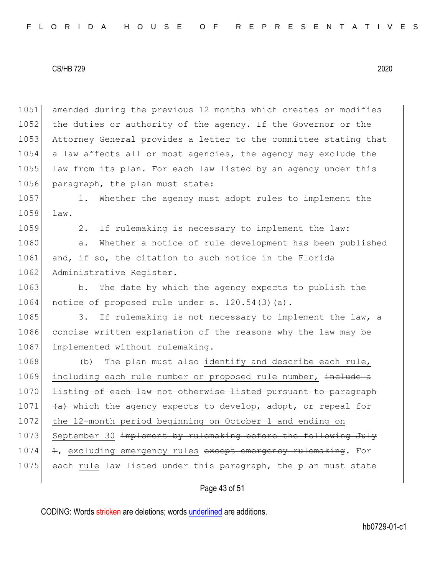1051 amended during the previous 12 months which creates or modifies 1052 the duties or authority of the agency. If the Governor or the 1053 Attorney General provides a letter to the committee stating that 1054 a law affects all or most agencies, the agency may exclude the 1055 law from its plan. For each law listed by an agency under this 1056 paragraph, the plan must state:

1057 1. Whether the agency must adopt rules to implement the 1058 law.

1059 2. If rulemaking is necessary to implement the law: 1060 a. Whether a notice of rule development has been published

1061 and, if so, the citation to such notice in the Florida 1062 Administrative Register.

1063 b. The date by which the agency expects to publish the 1064 notice of proposed rule under s.  $120.54(3)(a)$ .

1065 3. If rulemaking is not necessary to implement the law, a 1066 concise written explanation of the reasons why the law may be 1067 implemented without rulemaking.

1068 (b) The plan must also identify and describe each rule, 1069 including each rule number or proposed rule number, include a 1070 <del>listing of each law not otherwise listed pursuant to paragraph</del> 1071  $\leftarrow$  4. which the agency expects to develop, adopt, or repeal for 1072 the 12-month period beginning on October 1 and ending on 1073 September 30 implement by rulemaking before the following July 1074 1, excluding emergency rules except emergency rulemaking. For 1075 each rule  $\frac{1}{4}$  listed under this paragraph, the plan must state

### Page 43 of 51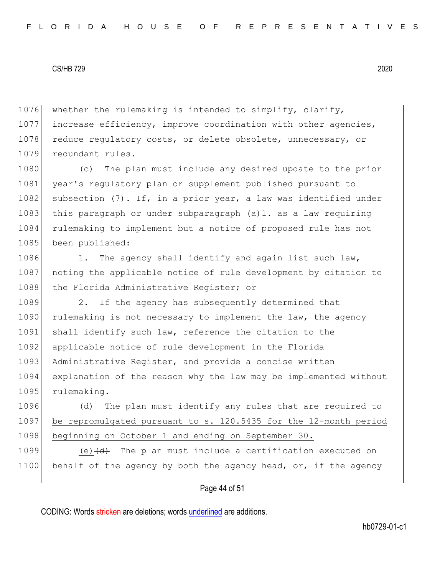1076 whether the rulemaking is intended to simplify, clarify, 1077 increase efficiency, improve coordination with other agencies, 1078 reduce regulatory costs, or delete obsolete, unnecessary, or 1079 redundant rules.

1080 (c) The plan must include any desired update to the prior 1081 year's regulatory plan or supplement published pursuant to 1082 subsection  $(7)$ . If, in a prior year, a law was identified under 1083 this paragraph or under subparagraph (a)1. as a law requiring 1084 rulemaking to implement but a notice of proposed rule has not 1085 been published:

1086 1. The agency shall identify and again list such law, 1087 | noting the applicable notice of rule development by citation to 1088 the Florida Administrative Register; or

1089 2. If the agency has subsequently determined that 1090 rulemaking is not necessary to implement the law, the agency 1091 shall identify such law, reference the citation to the 1092 applicable notice of rule development in the Florida 1093 Administrative Register, and provide a concise written 1094 explanation of the reason why the law may be implemented without 1095 rulemaking.

1096 (d) The plan must identify any rules that are required to 1097 be repromulgated pursuant to s. 120.5435 for the 12-month period 1098 beginning on October 1 and ending on September 30.

1099 (e) $\left(\frac{d}{dt}\right)$  The plan must include a certification executed on 1100 behalf of the agency by both the agency head, or, if the agency

### Page 44 of 51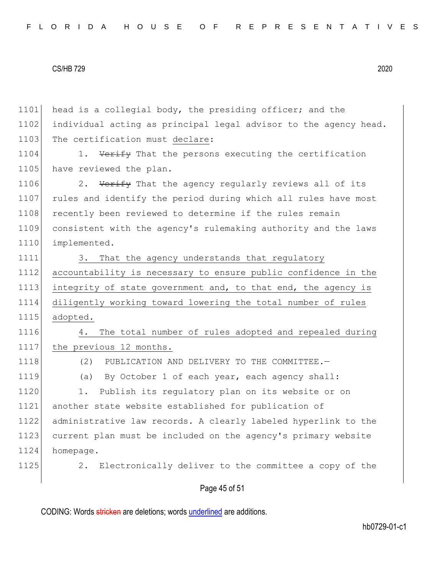Page 45 of 51 1101 head is a collegial body, the presiding officer; and the 1102 individual acting as principal legal advisor to the agency head. 1103 The certification must declare: 1104 1. Verify That the persons executing the certification 1105 have reviewed the plan. 1106 2. Verify That the agency regularly reviews all of its 1107 rules and identify the period during which all rules have most 1108 recently been reviewed to determine if the rules remain 1109 consistent with the agency's rulemaking authority and the laws 1110 implemented. 1111 3. That the agency understands that regulatory 1112 accountability is necessary to ensure public confidence in the 1113 integrity of state government and, to that end, the agency is 1114 diligently working toward lowering the total number of rules 1115 adopted. 1116 4. The total number of rules adopted and repealed during 1117 the previous 12 months. 1118 (2) PUBLICATION AND DELIVERY TO THE COMMITTEE. 1119 (a) By October 1 of each year, each agency shall: 1120 1. Publish its regulatory plan on its website or on 1121 another state website established for publication of 1122 administrative law records. A clearly labeled hyperlink to the 1123 current plan must be included on the agency's primary website 1124 homepage. 1125 2. Electronically deliver to the committee a copy of the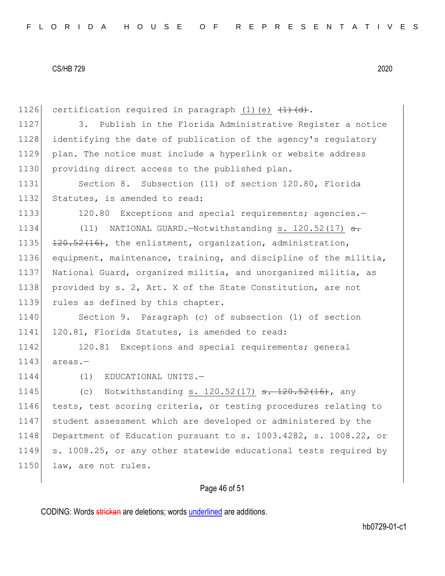1126 certification required in paragraph  $(1)$  (e)  $\overline{(1)}$   $\overline{(d)}$ . 1127 3. Publish in the Florida Administrative Register a notice 1128 identifying the date of publication of the agency's regulatory 1129 plan. The notice must include a hyperlink or website address 1130 providing direct access to the published plan. 1131 Section 8. Subsection (11) of section 120.80, Florida 1132 Statutes, is amended to read: 1133 120.80 Exceptions and special requirements; agencies. 1134 (11) NATIONAL GUARD.—Notwithstanding s. 120.52(17) <del>s.</del> 1135  $120.52(16)$ , the enlistment, organization, administration, 1136 equipment, maintenance, training, and discipline of the militia, 1137 National Guard, organized militia, and unorganized militia, as 1138 provided by s. 2, Art. X of the State Constitution, are not 1139 rules as defined by this chapter. 1140 Section 9. Paragraph (c) of subsection (1) of section 1141 120.81, Florida Statutes, is amended to read: 1142 120.81 Exceptions and special requirements; general  $1143$  areas. $-$ 1144 (1) EDUCATIONAL UNITS.-1145 (c) Notwithstanding s. 120.52(17) <del>s. 120.52(16)</del>, any 1146 tests, test scoring criteria, or testing procedures relating to 1147 student assessment which are developed or administered by the 1148 Department of Education pursuant to s. 1003.4282, s. 1008.22, or 1149 s. 1008.25, or any other statewide educational tests required by 1150 law, are not rules.

# Page 46 of 51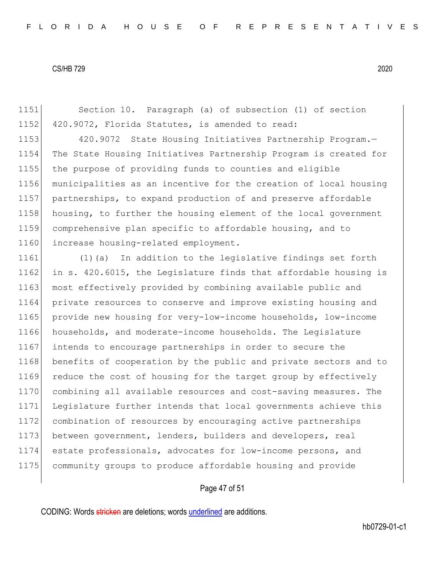1151 Section 10. Paragraph (a) of subsection (1) of section 1152 420.9072, Florida Statutes, is amended to read:

1153 420.9072 State Housing Initiatives Partnership Program.- The State Housing Initiatives Partnership Program is created for the purpose of providing funds to counties and eligible municipalities as an incentive for the creation of local housing 1157 partnerships, to expand production of and preserve affordable housing, to further the housing element of the local government comprehensive plan specific to affordable housing, and to 1160 increase housing-related employment.

 (1)(a) In addition to the legislative findings set forth in s. 420.6015, the Legislature finds that affordable housing is 1163 most effectively provided by combining available public and private resources to conserve and improve existing housing and provide new housing for very-low-income households, low-income 1166 households, and moderate-income households. The Legislature intends to encourage partnerships in order to secure the 1168 benefits of cooperation by the public and private sectors and to 1169 reduce the cost of housing for the target group by effectively combining all available resources and cost-saving measures. The Legislature further intends that local governments achieve this combination of resources by encouraging active partnerships 1173 between government, lenders, builders and developers, real estate professionals, advocates for low-income persons, and community groups to produce affordable housing and provide

#### Page 47 of 51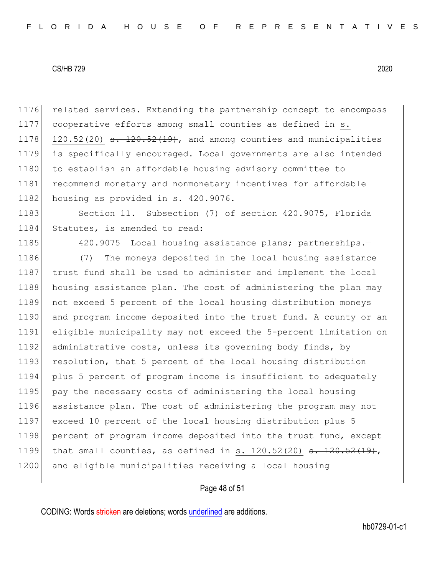1176 related services. Extending the partnership concept to encompass 1177 cooperative efforts among small counties as defined in s. 1178 120.52(20)  $\epsilon$ . 120.52(19), and among counties and municipalities 1179 is specifically encouraged. Local governments are also intended 1180 to establish an affordable housing advisory committee to 1181 recommend monetary and nonmonetary incentives for affordable 1182 housing as provided in s. 420.9076.

1183 Section 11. Subsection (7) of section 420.9075, Florida 1184 Statutes, is amended to read:

1185 420.9075 Local housing assistance plans; partnerships.-

1186 (7) The moneys deposited in the local housing assistance 1187 trust fund shall be used to administer and implement the local 1188 housing assistance plan. The cost of administering the plan may 1189 not exceed 5 percent of the local housing distribution moneys 1190 and program income deposited into the trust fund. A county or an 1191 eligible municipality may not exceed the 5-percent limitation on 1192 administrative costs, unless its governing body finds, by 1193 resolution, that 5 percent of the local housing distribution 1194 plus 5 percent of program income is insufficient to adequately 1195 pay the necessary costs of administering the local housing 1196 assistance plan. The cost of administering the program may not 1197 exceed 10 percent of the local housing distribution plus 5 1198 percent of program income deposited into the trust fund, except 1199 that small counties, as defined in s. 120.52(20)  $s. 120.52(19)$ , 1200 and eligible municipalities receiving a local housing

### Page 48 of 51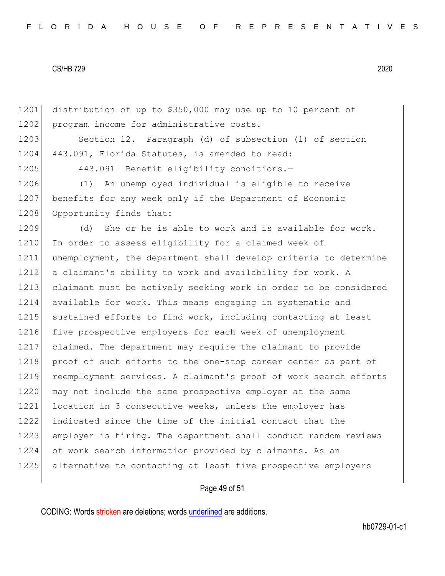1201 distribution of up to \$350,000 may use up to 10 percent of 1202 program income for administrative costs. 1203 Section 12. Paragraph (d) of subsection (1) of section 1204 443.091, Florida Statutes, is amended to read: 1205 443.091 Benefit eligibility conditions.-1206 (1) An unemployed individual is eligible to receive 1207 benefits for any week only if the Department of Economic 1208 Opportunity finds that: 1209 (d) She or he is able to work and is available for work. 1210 In order to assess eligibility for a claimed week of 1211 unemployment, the department shall develop criteria to determine 1212 a claimant's ability to work and availability for work. A 1213 claimant must be actively seeking work in order to be considered 1214 available for work. This means engaging in systematic and 1215 sustained efforts to find work, including contacting at least 1216 five prospective employers for each week of unemployment 1217 claimed. The department may require the claimant to provide 1218 proof of such efforts to the one-stop career center as part of 1219 reemployment services. A claimant's proof of work search efforts 1220 may not include the same prospective employer at the same 1221 location in 3 consecutive weeks, unless the employer has 1222 indicated since the time of the initial contact that the 1223 employer is hiring. The department shall conduct random reviews 1224 of work search information provided by claimants. As an 1225 alternative to contacting at least five prospective employers

# Page 49 of 51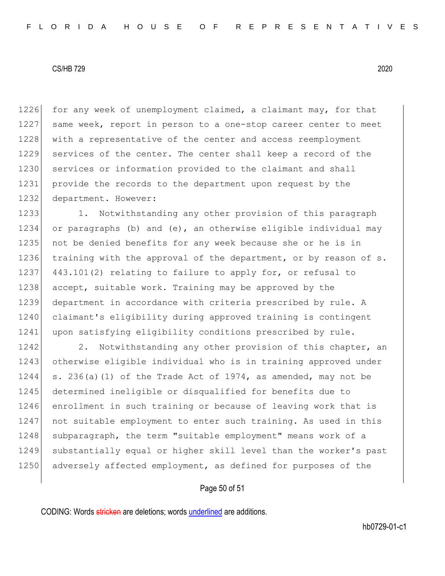1226 for any week of unemployment claimed, a claimant may, for that 1227 same week, report in person to a one-stop career center to meet 1228 with a representative of the center and access reemployment 1229 services of the center. The center shall keep a record of the 1230 services or information provided to the claimant and shall 1231 provide the records to the department upon request by the 1232 department. However:

1233 1. Notwithstanding any other provision of this paragraph 1234 or paragraphs (b) and (e), an otherwise eligible individual may 1235 not be denied benefits for any week because she or he is in 1236 training with the approval of the department, or by reason of s. 1237 443.101(2) relating to failure to apply for, or refusal to 1238 accept, suitable work. Training may be approved by the 1239 department in accordance with criteria prescribed by rule. A 1240 claimant's eligibility during approved training is contingent 1241 upon satisfying eligibility conditions prescribed by rule.

1242 2. Notwithstanding any other provision of this chapter, an 1243 otherwise eligible individual who is in training approved under  $1244$  s. 236(a)(1) of the Trade Act of 1974, as amended, may not be 1245 determined ineligible or disqualified for benefits due to 1246 enrollment in such training or because of leaving work that is 1247 not suitable employment to enter such training. As used in this 1248 subparagraph, the term "suitable employment" means work of a 1249 substantially equal or higher skill level than the worker's past 1250 adversely affected employment, as defined for purposes of the

### Page 50 of 51